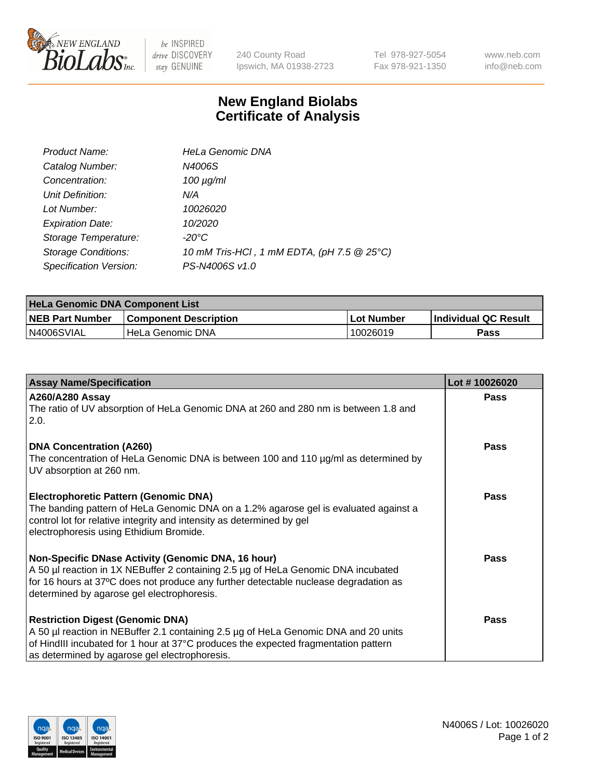

 $be$  INSPIRED drive DISCOVERY stay GENUINE

240 County Road Ipswich, MA 01938-2723 Tel 978-927-5054 Fax 978-921-1350 www.neb.com info@neb.com

## **New England Biolabs Certificate of Analysis**

| Product Name:              | <b>HeLa Genomic DNA</b>                    |
|----------------------------|--------------------------------------------|
| Catalog Number:            | N4006S                                     |
| Concentration:             | $100 \mu g/ml$                             |
| Unit Definition:           | N/A                                        |
| Lot Number:                | 10026020                                   |
| <b>Expiration Date:</b>    | 10/2020                                    |
| Storage Temperature:       | $-20^{\circ}$ C                            |
| <b>Storage Conditions:</b> | 10 mM Tris-HCl, 1 mM EDTA, (pH 7.5 @ 25°C) |
| Specification Version:     | PS-N4006S v1.0                             |

| <b>HeLa Genomic DNA Component List</b> |                              |             |                             |  |
|----------------------------------------|------------------------------|-------------|-----------------------------|--|
| <b>NEB Part Number</b>                 | <b>Component Description</b> | ⊥Lot Number | <b>Individual QC Result</b> |  |
| N4006SVIAL                             | l HeLa Genomic DNA           | 10026019    | Pass                        |  |

| <b>Assay Name/Specification</b>                                                                                                                                                                                                                                               | Lot #10026020 |
|-------------------------------------------------------------------------------------------------------------------------------------------------------------------------------------------------------------------------------------------------------------------------------|---------------|
| <b>A260/A280 Assay</b><br>The ratio of UV absorption of HeLa Genomic DNA at 260 and 280 nm is between 1.8 and<br>2.0.                                                                                                                                                         | <b>Pass</b>   |
| <b>DNA Concentration (A260)</b><br>The concentration of HeLa Genomic DNA is between 100 and 110 µg/ml as determined by<br>UV absorption at 260 nm.                                                                                                                            | <b>Pass</b>   |
| <b>Electrophoretic Pattern (Genomic DNA)</b><br>The banding pattern of HeLa Genomic DNA on a 1.2% agarose gel is evaluated against a<br>control lot for relative integrity and intensity as determined by gel<br>electrophoresis using Ethidium Bromide.                      | Pass          |
| Non-Specific DNase Activity (Genomic DNA, 16 hour)<br>A 50 µl reaction in 1X NEBuffer 2 containing 2.5 µg of HeLa Genomic DNA incubated<br>for 16 hours at 37°C does not produce any further detectable nuclease degradation as<br>determined by agarose gel electrophoresis. | <b>Pass</b>   |
| <b>Restriction Digest (Genomic DNA)</b><br>A 50 µl reaction in NEBuffer 2.1 containing 2.5 µg of HeLa Genomic DNA and 20 units<br>of HindIII incubated for 1 hour at 37°C produces the expected fragmentation pattern<br>as determined by agarose gel electrophoresis.        | <b>Pass</b>   |